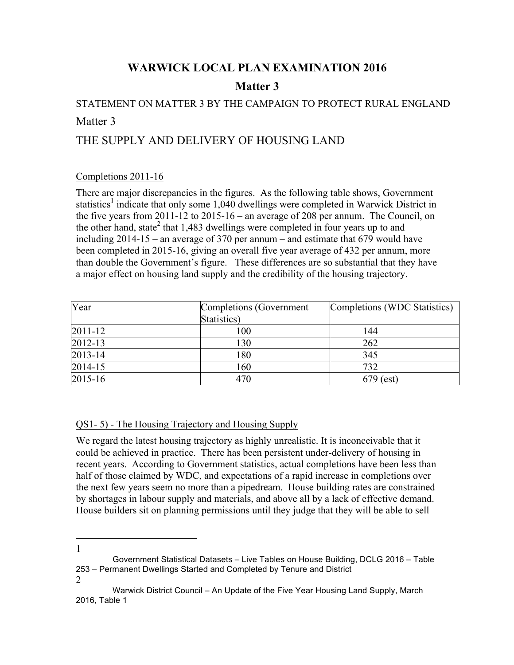## **WARWICK LOCAL PLAN EXAMINATION 2016**

## **Matter 3**

## STATEMENT ON MATTER 3 BY THE CAMPAIGN TO PROTECT RURAL ENGLAND Matter 3

# THE SUPPLY AND DELIVERY OF HOUSING LAND

#### Completions 2011-16

There are major discrepancies in the figures. As the following table shows, Government statistics<sup>1</sup> indicate that only some 1,040 dwellings were completed in Warwick District in the five years from 2011-12 to 2015-16 – an average of 208 per annum. The Council, on the other hand, state<sup>2</sup> that 1,483 dwellings were completed in four years up to and including 2014-15 – an average of 370 per annum – and estimate that 679 would have been completed in 2015-16, giving an overall five year average of 432 per annum, more than double the Government's figure. These differences are so substantial that they have a major effect on housing land supply and the credibility of the housing trajectory.

| Year    | Completions (Government | Completions (WDC Statistics) |
|---------|-------------------------|------------------------------|
|         | Statistics)             |                              |
| 2011-12 | 100                     | 144                          |
| 2012-13 | 130                     | 262                          |
| 2013-14 | 180                     | 345                          |
| 2014-15 | 160                     | 732                          |
| 2015-16 | 470                     | $679$ (est)                  |

#### QS1- 5) - The Housing Trajectory and Housing Supply

We regard the latest housing trajectory as highly unrealistic. It is inconceivable that it could be achieved in practice. There has been persistent under-delivery of housing in recent years. According to Government statistics, actual completions have been less than half of those claimed by WDC, and expectations of a rapid increase in completions over the next few years seem no more than a pipedream. House building rates are constrained by shortages in labour supply and materials, and above all by a lack of effective demand. House builders sit on planning permissions until they judge that they will be able to sell

l

<sup>1</sup> Government Statistical Datasets – Live Tables on House Building, DCLG 2016 – Table 253 – Permanent Dwellings Started and Completed by Tenure and District

<sup>2</sup> Warwick District Council – An Update of the Five Year Housing Land Supply, March 2016, Table 1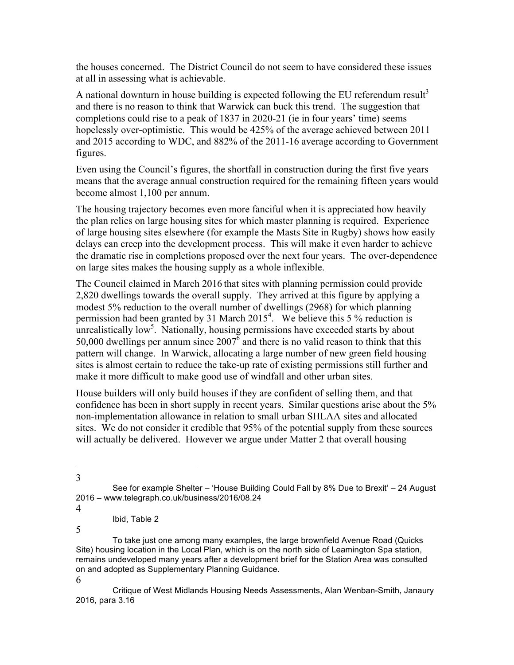the houses concerned. The District Council do not seem to have considered these issues at all in assessing what is achievable.

A national downturn in house building is expected following the EU referendum result<sup>3</sup> and there is no reason to think that Warwick can buck this trend. The suggestion that completions could rise to a peak of 1837 in 2020-21 (ie in four years' time) seems hopelessly over-optimistic. This would be 425% of the average achieved between 2011 and 2015 according to WDC, and 882% of the 2011-16 average according to Government figures.

Even using the Council's figures, the shortfall in construction during the first five years means that the average annual construction required for the remaining fifteen years would become almost 1,100 per annum.

The housing trajectory becomes even more fanciful when it is appreciated how heavily the plan relies on large housing sites for which master planning is required. Experience of large housing sites elsewhere (for example the Masts Site in Rugby) shows how easily delays can creep into the development process. This will make it even harder to achieve the dramatic rise in completions proposed over the next four years. The over-dependence on large sites makes the housing supply as a whole inflexible.

The Council claimed in March 2016 that sites with planning permission could provide 2,820 dwellings towards the overall supply. They arrived at this figure by applying a modest 5% reduction to the overall number of dwellings (2968) for which planning permission had been granted by 31 March  $2015<sup>4</sup>$ . We believe this 5 % reduction is unrealistically low<sup>5</sup>. Nationally, housing permissions have exceeded starts by about 50,000 dwellings per annum since  $2007^6$  and there is no valid reason to think that this pattern will change. In Warwick, allocating a large number of new green field housing sites is almost certain to reduce the take-up rate of existing permissions still further and make it more difficult to make good use of windfall and other urban sites.

House builders will only build houses if they are confident of selling them, and that confidence has been in short supply in recent years. Similar questions arise about the 5% non-implementation allowance in relation to small urban SHLAA sites and allocated sites. We do not consider it credible that 95% of the potential supply from these sources will actually be delivered. However we argue under Matter 2 that overall housing

l

<sup>5</sup> To take just one among many examples, the large brownfield Avenue Road (Quicks Site) housing location in the Local Plan, which is on the north side of Leamington Spa station, remains undeveloped many years after a development brief for the Station Area was consulted on and adopted as Supplementary Planning Guidance.

<sup>3</sup> See for example Shelter – 'House Building Could Fall by 8% Due to Brexit' – 24 August 2016 – www.telegraph.co.uk/business/2016/08.24

<sup>4</sup> Ibid, Table 2

<sup>6</sup> Critique of West Midlands Housing Needs Assessments, Alan Wenban-Smith, Janaury 2016, para 3.16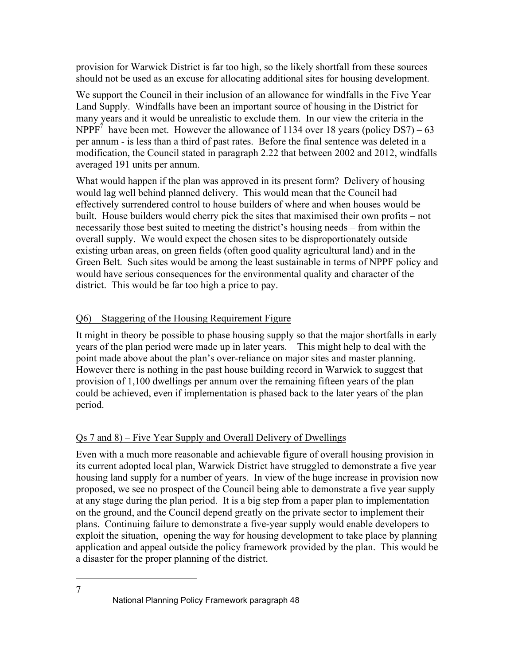provision for Warwick District is far too high, so the likely shortfall from these sources should not be used as an excuse for allocating additional sites for housing development.

We support the Council in their inclusion of an allowance for windfalls in the Five Year Land Supply. Windfalls have been an important source of housing in the District for many years and it would be unrealistic to exclude them. In our view the criteria in the NPPF<sup>7</sup> have been met. However the allowance of 1134 over 18 years (policy DS7) – 63 per annum - is less than a third of past rates. Before the final sentence was deleted in a modification, the Council stated in paragraph 2.22 that between 2002 and 2012, windfalls averaged 191 units per annum.

What would happen if the plan was approved in its present form? Delivery of housing would lag well behind planned delivery. This would mean that the Council had effectively surrendered control to house builders of where and when houses would be built. House builders would cherry pick the sites that maximised their own profits – not necessarily those best suited to meeting the district's housing needs – from within the overall supply. We would expect the chosen sites to be disproportionately outside existing urban areas, on green fields (often good quality agricultural land) and in the Green Belt. Such sites would be among the least sustainable in terms of NPPF policy and would have serious consequences for the environmental quality and character of the district. This would be far too high a price to pay.

### Q6) – Staggering of the Housing Requirement Figure

It might in theory be possible to phase housing supply so that the major shortfalls in early years of the plan period were made up in later years. This might help to deal with the point made above about the plan's over-reliance on major sites and master planning. However there is nothing in the past house building record in Warwick to suggest that provision of 1,100 dwellings per annum over the remaining fifteen years of the plan could be achieved, even if implementation is phased back to the later years of the plan period.

### Qs 7 and 8) – Five Year Supply and Overall Delivery of Dwellings

Even with a much more reasonable and achievable figure of overall housing provision in its current adopted local plan, Warwick District have struggled to demonstrate a five year housing land supply for a number of years. In view of the huge increase in provision now proposed, we see no prospect of the Council being able to demonstrate a five year supply at any stage during the plan period. It is a big step from a paper plan to implementation on the ground, and the Council depend greatly on the private sector to implement their plans. Continuing failure to demonstrate a five-year supply would enable developers to exploit the situation, opening the way for housing development to take place by planning application and appeal outside the policy framework provided by the plan. This would be a disaster for the proper planning of the district.

<sup>7</sup> National Planning Policy Framework paragraph 48